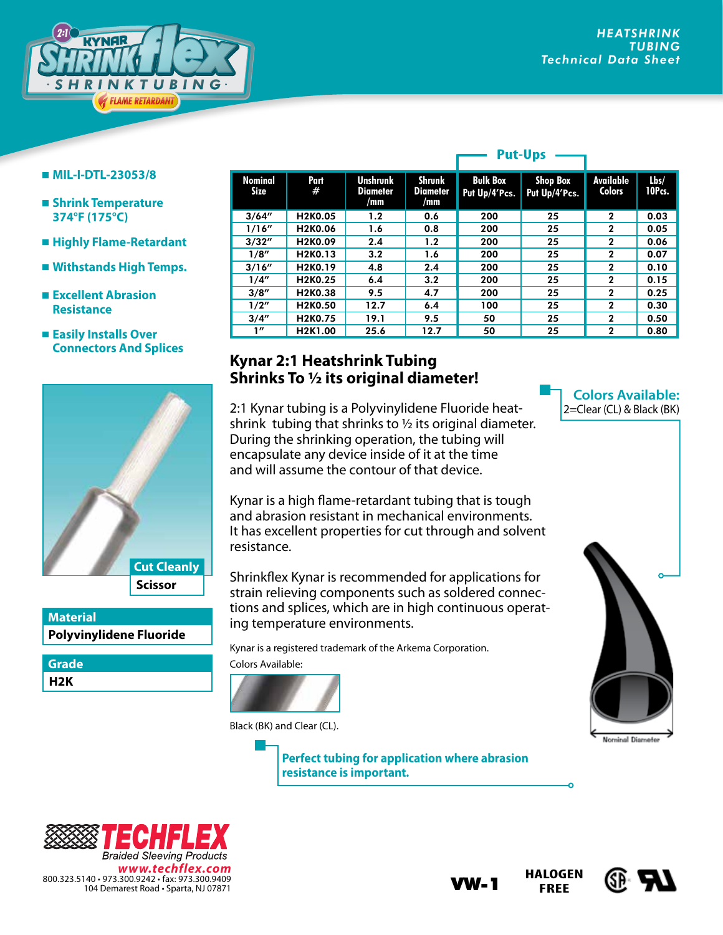

#### **MIL-I-DTL-23053/8**

- **Shrink Temperature 374°F (175°C)**
- **Highly Flame-Retardant**
- **Withstands High Temps.**
- **Excellent Abrasion Resistance**
- **Easily Installs Over Connectors And Splices**



## **Polyvinylidene Fluoride Material**

**H2K Grade**

| Nominal<br>Size | Part<br>#                         | <b>Unshrunk</b><br><b>Diameter</b><br>/mm | Shrunk<br>Diameter<br>/mm | <b>Bulk Box</b><br>Put Up/4'Pcs. | <b>Shop Box</b><br>Put Up/4'Pcs. | Available<br><b>Colors</b> | Lbs/<br>10Pcs. |
|-----------------|-----------------------------------|-------------------------------------------|---------------------------|----------------------------------|----------------------------------|----------------------------|----------------|
| 3/64''          | H2K0.05                           | 1.2                                       | 0.6                       | 200                              | 25                               | $\mathbf{2}$               | 0.03           |
| 1/16''          | H <sub>2</sub> K <sub>0</sub> .06 | 1.6                                       | 0.8                       | 200                              | 25                               | $\mathbf{2}$               | 0.05           |
| 3/32''          | H <sub>2</sub> K <sub>0</sub> .09 | 2.4                                       | 1.2                       | 200                              | 25                               | $\mathbf{2}$               | 0.06           |
| 1/8''           | H <sub>2</sub> K <sub>0</sub> .13 | 3.2                                       | 1.6                       | 200                              | 25                               | $\mathbf{2}$               | 0.07           |
| 3/16''          | H <sub>2</sub> K <sub>0</sub> .19 | 4.8                                       | 2.4                       | 200                              | 25                               | $\mathbf{2}$               | 0.10           |
| 1/4''           | H2K0.25                           | 6.4                                       | 3.2                       | 200                              | 25                               | $\mathbf{2}$               | 0.15           |
| 3/8''           | H2K0.38                           | 9.5                                       | 4.7                       | 200                              | 25                               | $\mathbf{2}$               | 0.25           |
| 1/2"            | H <sub>2</sub> K <sub>0.50</sub>  | 12.7                                      | 6.4                       | 100                              | 25                               | $\mathbf{2}$               | 0.30           |
| 3/4''           | H <sub>2</sub> K <sub>0</sub> .75 | 19.1                                      | 9.5                       | 50                               | 25                               | $\mathbf{2}$               | 0.50           |
| 1''             | H <sub>2</sub> K <sub>1</sub> .00 | 25.6                                      | 12.7                      | 50                               | 25                               | $\mathbf{2}$               | 0.80           |

**Put-Ups**

# **Kynar 2:1 Heatshrink Tubing Shrinks To 1/2 its original diameter!**

2:1 Kynar tubing is a Polyvinylidene Fluoride heatshrink tubing that shrinks to  $1/2$  its original diameter. During the shrinking operation, the tubing will encapsulate any device inside of it at the time and will assume the contour of that device.

Kynar is a high flame-retardant tubing that is tough and abrasion resistant in mechanical environments. It has excellent properties for cut through and solvent resistance.

Shrinkflex Kynar is recommended for applications for strain relieving components such as soldered connections and splices, which are in high continuous operating temperature environments.

Kynar is a registered trademark of the Arkema Corporation.

Colors Available:



Black (BK) and Clear (CL).

**Perfect tubing for application where abrasion resistance is important.**









### **Colors Available:** 2=Clear (CL) & Black (BK)